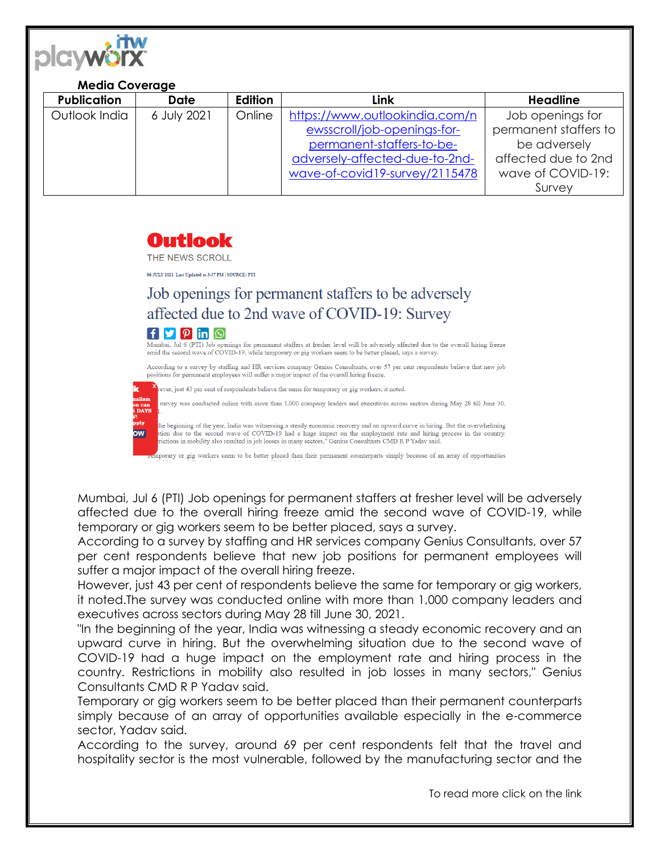

## **Media Coverage**

| <b>Publication</b> | Date        | <b>Edition</b> | Link                           | <b>Headline</b>       |
|--------------------|-------------|----------------|--------------------------------|-----------------------|
| Outlook India      | 6 July 2021 | Online         | https://www.outlookindia.com/n | Job openings for      |
|                    |             |                | ewsscroll/job-openings-for-    | permanent staffers to |
|                    |             |                | permanent-staffers-to-be-      | be adversely          |
|                    |             |                | adversely-affected-due-to-2nd- | affected due to 2nd   |
|                    |             |                | wave-of-covid19-survey/2115478 | wave of COVID-19:     |
|                    |             |                |                                | Survey                |

## Outlook

THE NEWS SCROLL

06 JULY 2021 Last Updated at 3:37 PM | SOURCE: PTI

## Job openings for permanent staffers to be adversely affected due to 2nd wave of COVID-19: Survey



Mumbai, Jul 6 (PTI) Job openings for permanent staffers at fresher level will be adversely affected due to the overall hiring freeze amid the second wave of COVID-19, while temporary or gig workers seem to be better placed, says a survey.

According to a survey by staffing and HR services company Genius Consultants, over 57 per cent respondents believe that new job positions for permanent employees will suffer a major impact of the overall hiring freeze.

vever, just 43 per cent of respondents believe the same for temporary or gig workers, it noted.

survey was conducted online with more than 1,000 company leaders and executives across sectors during May 28 till June 30,

the beginning of the year, India was witnessing a steady economic recovery and an upward curve in hiring. But the overwhelming<br>ation due to the second wave of COVID-19 had a huge impact on the employment rate and hiring pr

mporary or gig workers seem to be better placed than their permanent counterparts simply because of an array of opportunities

Mumbai, Jul 6 (PTI) Job openings for permanent staffers at fresher level will be adversely affected due to the overall hiring freeze amid the second wave of COVID-19, while temporary or gig workers seem to be better placed, says a survey.

According to a survey by staffing and HR services company Genius Consultants, over 57 per cent respondents believe that new job positions for permanent employees will suffer a major impact of the overall hiring freeze.

However, just 43 per cent of respondents believe the same for temporary or gig workers, it noted.The survey was conducted online with more than 1,000 company leaders and executives across sectors during May 28 till June 30, 2021.

"In the beginning of the year, India was witnessing a steady economic recovery and an upward curve in hiring. But the overwhelming situation due to the second wave of COVID-19 had a huge impact on the employment rate and hiring process in the country. Restrictions in mobility also resulted in job losses in many sectors," Genius Consultants CMD R P Yadav said.

Temporary or gig workers seem to be better placed than their permanent counterparts simply because of an array of opportunities available especially in the e-commerce sector, Yadav said.

According to the survey, around 69 per cent respondents felt that the travel and hospitality sector is the most vulnerable, followed by the manufacturing sector and the

To read more click on the link